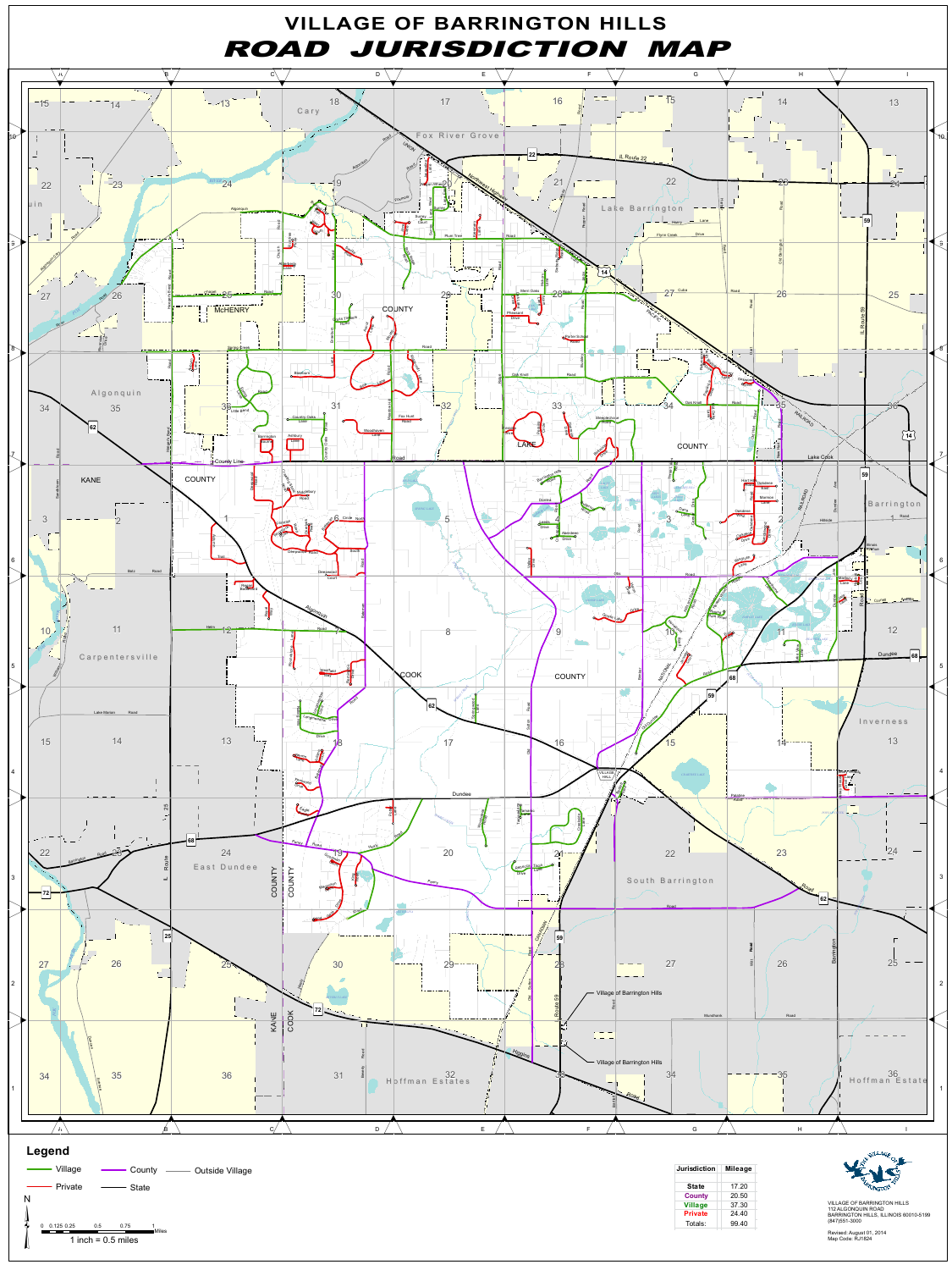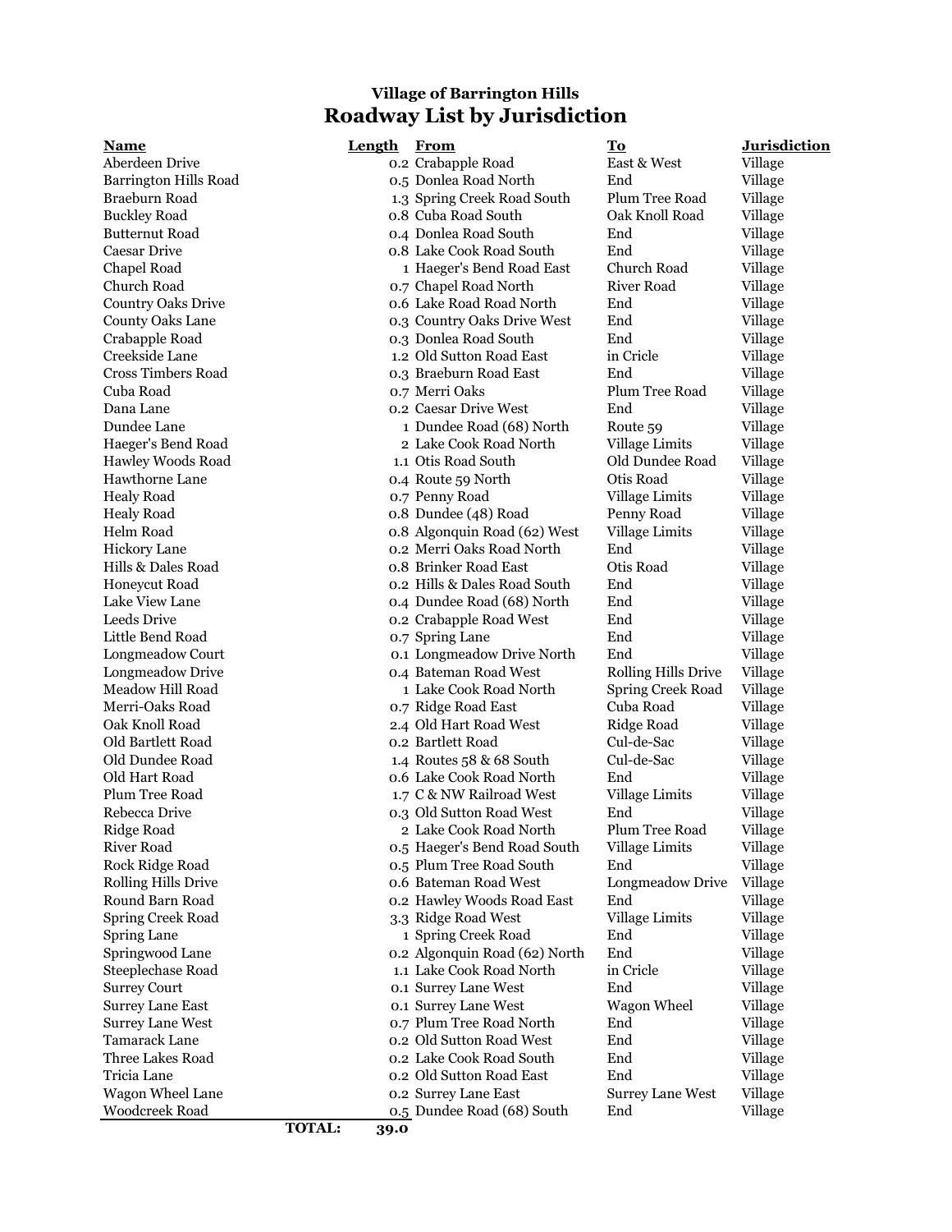## **Village of Barrington Hills Roadway List by Jurisdiction**

**Name Length From To Jurisdiction** Aberdeen Drive 0.2 Crabapple Road East & West Village Barrington Hills Road 0.5 Donlea Road North End Village Braeburn Road 1.3 Spring Creek Road South Plum Tree Road Village Buckley Road 0.8 Cuba Road South Oak Knoll Road Village Butternut Road 0.4 Donlea Road South End Village Caesar Drive 0.8 Lake Cook Road South End Village Chapel Road 1 Haeger's Bend Road East Church Road Village Church Road 0.7 Chapel Road North River Road Village Country Oaks Drive 0.6 Lake Road Road North End Village County Oaks Lane 0.3 Country Oaks Drive West End Village Crabapple Road 0.3 Donlea Road South End Village Creekside Lane 1.2 Old Sutton Road East in Cricle Cross Timbers Road 0.3 Braeburn Road East End Village Cuba Road 0.7 Merri Oaks Plum Tree Road Village Dana Lane 0.2 Caesar Drive West End Village Dundee Lane 1 Dundee Road (68) North Route 59 Village Haeger's Bend Road 2 Lake Cook Road North Village Limits Village Hawley Woods Road 1.1 Otis Road South Old Dundee Road Village Hawthorne Lane 0.4 Route 59 North Otis Road Village Healy Road 0.7 Penny Road Village Limits Village Healy Road 0.8 Dundee (48) Road Penny Road Village Helm Road **1.2 Community 1.4 Community 1.4 Algonquin Road (62) West** Village Limits Village Hickory Lane 0.2 Merri Oaks Road North End Village Hills & Dales Road 0.8 Brinker Road East Otis Road Village Honeycut Road 0.2 Hills & Dales Road South End Village Lake View Lane 0.4 Dundee Road (68) North End Village Leeds Drive 0.2 Crabapple Road West End Village Little Bend Road 0.7 Spring Lane End Village Longmeadow Court 0.1 Longmeadow Drive North End Village Longmeadow Drive 0.4 Bateman Road West Rolling Hills Drive Village Meadow Hill Road 1 Lake Cook Road North Spring Creek Road Village Merri-Oaks Road 0.7 Ridge Road East Cuba Road Village Oak Knoll Road 2.4 Old Hart Road West Ridge Road Village Old Bartlett Road 0.2 Bartlett Road Cul-de-Sac Village Old Dundee Road 1.4 Routes 58 & 68 South Cul-de-Sac Village Old Hart Road 0.6 Lake Cook Road North End Village Plum Tree Road 1.7 C & NW Railroad West Village Limits Village Rebecca Drive 0.3 Old Sutton Road West End Village Ridge Road 2 Lake Cook Road North Plum Tree Road Village River Road **2.6 September 1.0 September 1.0 September 2.5 Haeger's Bend Road South** Village Limits Village Rock Ridge Road 0.5 Plum Tree Road South End Village Rolling Hills Drive 0.6 Bateman Road West Longmeadow Drive Village Round Barn Road **1.2 Studies End East End Village** 2.2 Hawley Woods Road East End Village Spring Creek Road 3.3 Ridge Road West Village Limits Village Spring Lane 1 Spring Creek Road End Village Springwood Lane 0.2 Algonquin Road (62) North End Village Steeplechase Road 1.1 Lake Cook Road North in Cricle Village Surrey Court 0.1 Surrey Lane West End Village Surrey Lane East 0.1 Surrey Lane West Wagon Wheel Village Surrey Lane West 0.7 Plum Tree Road North End Village Tamarack Lane **1.2 Compared Compared Compared Compared Compared Compared Compared Compared Compared Compared Compared Compared Compared Compared Compared Compared Compared Compared Compared Compared Compared Compared Compa** Three Lakes Road and the Cook Road South End Village Tricia Lane 0.2 Old Sutton Road East End Village Wagon Wheel Lane 1986 Co. 2 Surrey Lane East Surrey Lane West Village Woodcreek Road 0.5 Dundee Road (68) South End Village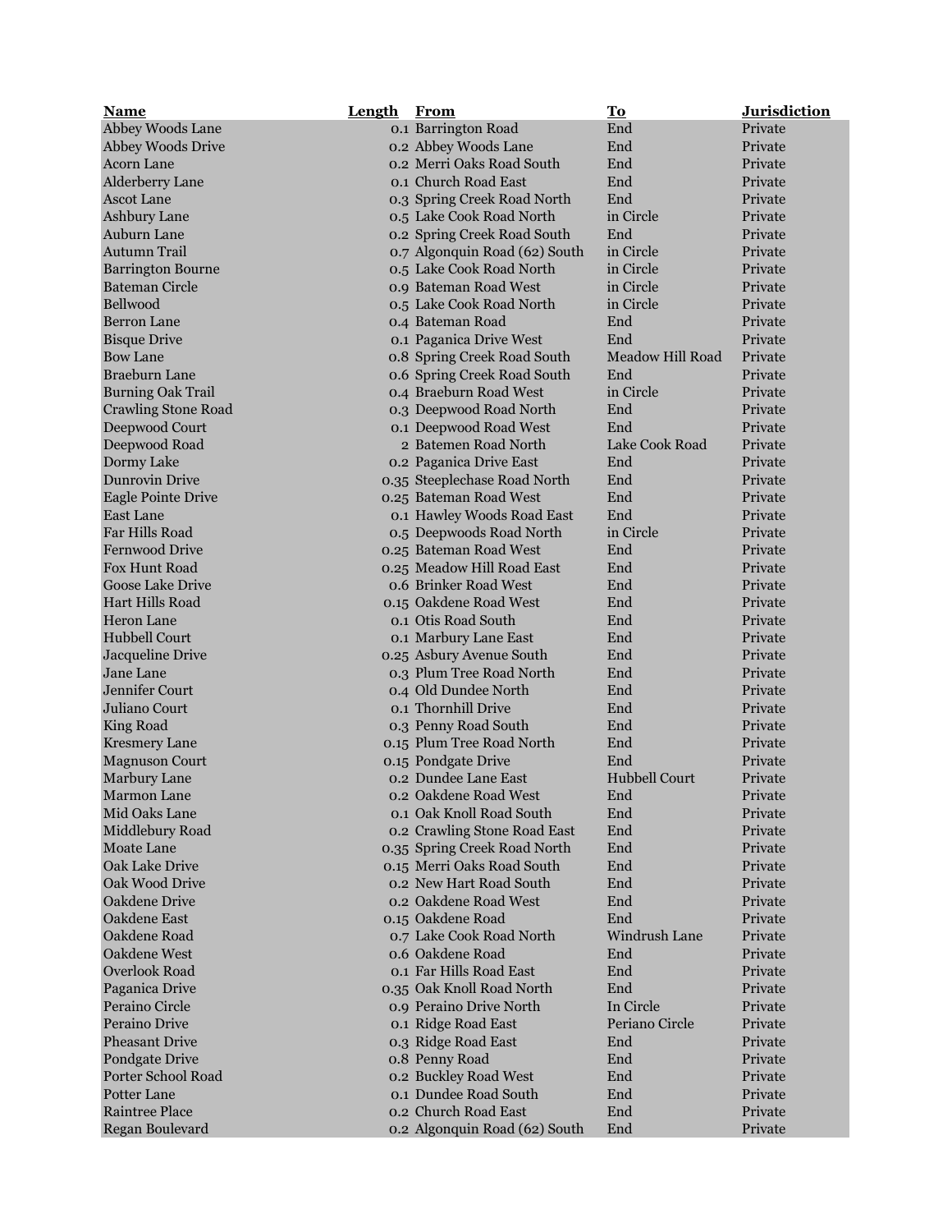| <b>Name</b>                | <b>Length</b> | From                          | <u>To</u>            | <b>Jurisdiction</b> |
|----------------------------|---------------|-------------------------------|----------------------|---------------------|
| Abbey Woods Lane           |               | 0.1 Barrington Road           | End                  | Private             |
| <b>Abbey Woods Drive</b>   |               | 0.2 Abbey Woods Lane          | End                  | Private             |
| <b>Acorn Lane</b>          |               | 0.2 Merri Oaks Road South     | End                  | Private             |
| Alderberry Lane            |               | 0.1 Church Road East          | End                  | Private             |
| <b>Ascot Lane</b>          |               | 0.3 Spring Creek Road North   | End                  | Private             |
| Ashbury Lane               |               | 0.5 Lake Cook Road North      | in Circle            | Private             |
| Auburn Lane                |               | 0.2 Spring Creek Road South   | End                  | Private             |
| <b>Autumn Trail</b>        |               | 0.7 Algonquin Road (62) South | in Circle            | Private             |
| <b>Barrington Bourne</b>   |               | 0.5 Lake Cook Road North      | in Circle            | Private             |
| <b>Bateman Circle</b>      |               | 0.9 Bateman Road West         | in Circle            | Private             |
| Bellwood                   |               | 0.5 Lake Cook Road North      | in Circle            | Private             |
| <b>Berron Lane</b>         |               | 0.4 Bateman Road              | End                  | Private             |
| <b>Bisque Drive</b>        |               | 0.1 Paganica Drive West       | End                  | Private             |
|                            |               |                               |                      |                     |
| <b>Bow Lane</b>            |               | o.8 Spring Creek Road South   | Meadow Hill Road     | Private             |
| <b>Braeburn Lane</b>       |               | 0.6 Spring Creek Road South   | End                  | Private             |
| <b>Burning Oak Trail</b>   |               | 0.4 Braeburn Road West        | in Circle            | Private             |
| <b>Crawling Stone Road</b> |               | 0.3 Deepwood Road North       | End                  | Private             |
| Deepwood Court             |               | 0.1 Deepwood Road West        | End                  | Private             |
| Deepwood Road              |               | 2 Batemen Road North          | Lake Cook Road       | Private             |
| Dormy Lake                 |               | 0.2 Paganica Drive East       | End                  | Private             |
| <b>Dunrovin Drive</b>      |               | 0.35 Steeplechase Road North  | End                  | Private             |
| <b>Eagle Pointe Drive</b>  |               | 0.25 Bateman Road West        | End                  | Private             |
| <b>East Lane</b>           |               | 0.1 Hawley Woods Road East    | End                  | Private             |
| Far Hills Road             |               | 0.5 Deepwoods Road North      | in Circle            | Private             |
| <b>Fernwood Drive</b>      |               | 0.25 Bateman Road West        | End                  | Private             |
| Fox Hunt Road              |               | 0.25 Meadow Hill Road East    | End                  | Private             |
| Goose Lake Drive           |               | 0.6 Brinker Road West         | End                  | Private             |
| <b>Hart Hills Road</b>     |               | 0.15 Oakdene Road West        | End                  | Private             |
| <b>Heron Lane</b>          |               | 0.1 Otis Road South           | End                  | Private             |
| Hubbell Court              |               | 0.1 Marbury Lane East         | End                  | Private             |
| Jacqueline Drive           |               | 0.25 Asbury Avenue South      | End                  | Private             |
| Jane Lane                  |               | 0.3 Plum Tree Road North      | End                  | Private             |
| <b>Jennifer Court</b>      |               | 0.4 Old Dundee North          | End                  | Private             |
| Juliano Court              |               | 0.1 Thornhill Drive           | End                  | Private             |
| King Road                  |               | 0.3 Penny Road South          | End                  | Private             |
| <b>Kresmery Lane</b>       |               | 0.15 Plum Tree Road North     | End                  | Private             |
| <b>Magnuson Court</b>      |               | 0.15 Pondgate Drive           | End                  | Private             |
| Marbury Lane               |               | 0.2 Dundee Lane East          | <b>Hubbell Court</b> | Private             |
| <b>Marmon Lane</b>         |               | 0.2 Oakdene Road West         | End                  | Private             |
| Mid Oaks Lane              |               | 0.1 Oak Knoll Road South      | End                  | Private             |
| Middlebury Road            |               | 0.2 Crawling Stone Road East  | End                  | Private             |
| Moate Lane                 |               | 0.35 Spring Creek Road North  | End                  | Private             |
| Oak Lake Drive             |               | 0.15 Merri Oaks Road South    | End                  | Private             |
| Oak Wood Drive             |               | 0.2 New Hart Road South       | End                  | Private             |
|                            |               | 0.2 Oakdene Road West         |                      |                     |
| Oakdene Drive              |               |                               | End                  | Private             |
| Oakdene East               |               | 0.15 Oakdene Road             | End                  | Private             |
| Oakdene Road               |               | 0.7 Lake Cook Road North      | Windrush Lane        | Private             |
| Oakdene West               |               | 0.6 Oakdene Road              | End                  | Private             |
| Overlook Road              |               | 0.1 Far Hills Road East       | End                  | Private             |
| Paganica Drive             |               | 0.35 Oak Knoll Road North     | End                  | Private             |
| Peraino Circle             |               | 0.9 Peraino Drive North       | In Circle            | Private             |
| Peraino Drive              |               | 0.1 Ridge Road East           | Periano Circle       | Private             |
| <b>Pheasant Drive</b>      |               | 0.3 Ridge Road East           | End                  | Private             |
| Pondgate Drive             |               | o.8 Penny Road                | End                  | Private             |
| Porter School Road         |               | 0.2 Buckley Road West         | End                  | Private             |
| Potter Lane                |               | 0.1 Dundee Road South         | End                  | Private             |
| <b>Raintree Place</b>      |               | 0.2 Church Road East          | End                  | Private             |
| Regan Boulevard            |               | 0.2 Algonquin Road (62) South | End                  | Private             |